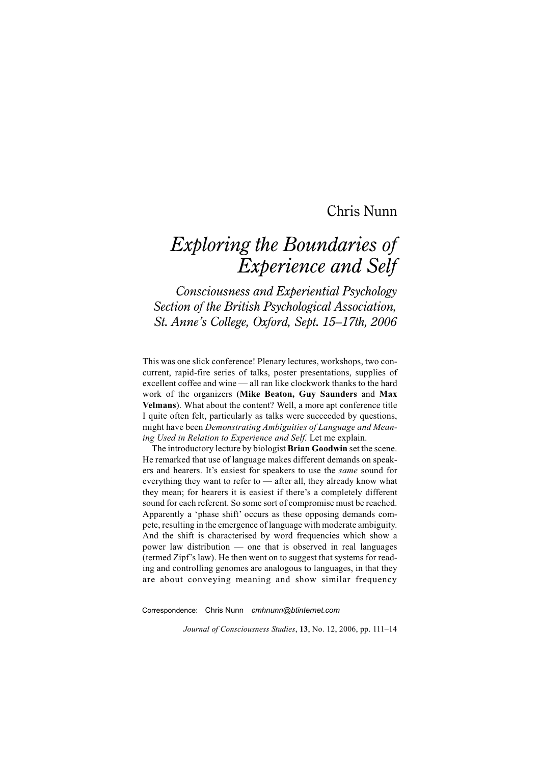## Chris Nunn

## *Exploring the Boundaries of Experience and Self*

*Consciousness and Experiential Psychology Section of the British Psychological Association, St. Anne's College, Oxford, Sept. 15–17th, 2006*

This was one slick conference! Plenary lectures, workshops, two concurrent, rapid-fire series of talks, poster presentations, supplies of excellent coffee and wine — all ran like clockwork thanks to the hard work of the organizers (**Mike Beaton, Guy Saunders** and **Max Velmans**). What about the content? Well, a more apt conference title I quite often felt, particularly as talks were succeeded by questions, might have been *Demonstrating Ambiguities of Language and Meaning Used in Relation to Experience and Self.* Let me explain.

The introductory lecture by biologist **Brian Goodwin** set the scene. He remarked that use of language makes different demands on speakers and hearers. It's easiest for speakers to use the *same* sound for everything they want to refer to — after all, they already know what they mean; for hearers it is easiest if there's a completely different sound for each referent. So some sort of compromise must be reached. Apparently a 'phase shift' occurs as these opposing demands compete, resulting in the emergence of language with moderate ambiguity. And the shift is characterised by word frequencies which show a power law distribution — one that is observed in real languages (termed Zipf's law). He then went on to suggest that systems for reading and controlling genomes are analogous to languages, in that they are about conveying meaning and show similar frequency

Correspondence: Chris Nunn *cmhnunn@btinternet.com*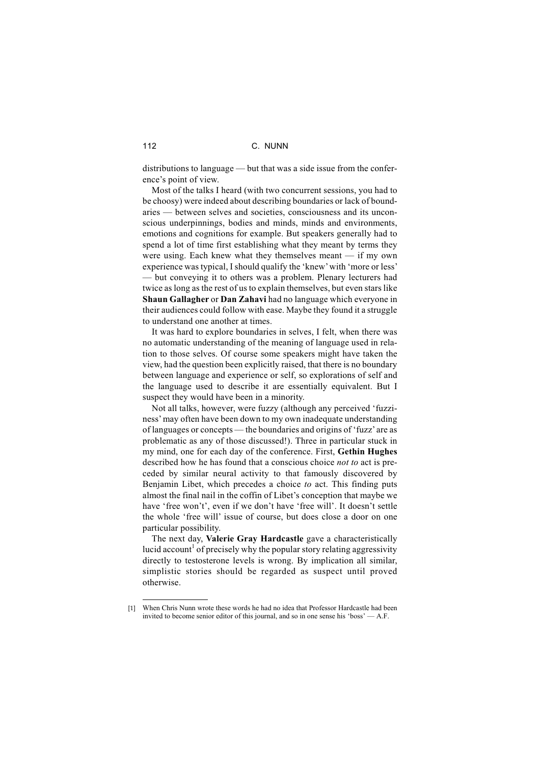distributions to language — but that was a side issue from the conference's point of view.

Most of the talks I heard (with two concurrent sessions, you had to be choosy) were indeed about describing boundaries or lack of boundaries — between selves and societies, consciousness and its unconscious underpinnings, bodies and minds, minds and environments, emotions and cognitions for example. But speakers generally had to spend a lot of time first establishing what they meant by terms they were using. Each knew what they themselves meant — if my own experience was typical, I should qualify the 'knew' with 'more or less' — but conveying it to others was a problem. Plenary lecturers had twice as long as the rest of us to explain themselves, but even stars like **Shaun Gallagher** or **Dan Zahavi** had no language which everyone in their audiences could follow with ease. Maybe they found it a struggle to understand one another at times.

It was hard to explore boundaries in selves, I felt, when there was no automatic understanding of the meaning of language used in relation to those selves. Of course some speakers might have taken the view, had the question been explicitly raised, that there is no boundary between language and experience or self, so explorations of self and the language used to describe it are essentially equivalent. But I suspect they would have been in a minority.

Not all talks, however, were fuzzy (although any perceived 'fuzziness' may often have been down to my own inadequate understanding of languages or concepts — the boundaries and origins of 'fuzz'are as problematic as any of those discussed!). Three in particular stuck in my mind, one for each day of the conference. First, **Gethin Hughes** described how he has found that a conscious choice *not to* act is preceded by similar neural activity to that famously discovered by Benjamin Libet, which precedes a choice *to* act. This finding puts almost the final nail in the coffin of Libet's conception that maybe we have 'free won't', even if we don't have 'free will'. It doesn't settle the whole 'free will' issue of course, but does close a door on one particular possibility.

The next day, **Valerie Gray Hardcastle** gave a characteristically lucid account<sup>1</sup> of precisely why the popular story relating aggressivity directly to testosterone levels is wrong. By implication all similar, simplistic stories should be regarded as suspect until proved otherwise.

<sup>[1]</sup> When Chris Nunn wrote these words he had no idea that Professor Hardcastle had been invited to become senior editor of this journal, and so in one sense his 'boss' — A.F.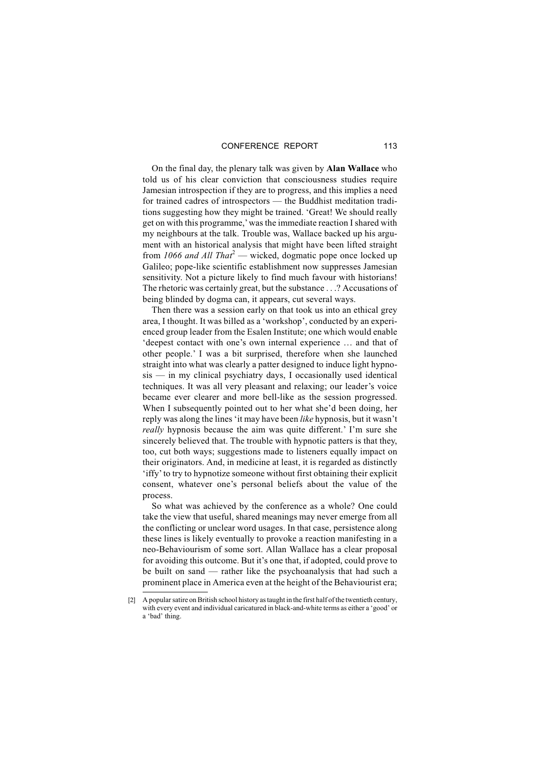On the final day, the plenary talk was given by **Alan Wallace** who told us of his clear conviction that consciousness studies require Jamesian introspection if they are to progress, and this implies a need for trained cadres of introspectors — the Buddhist meditation traditions suggesting how they might be trained. 'Great! We should really get on with this programme,' was the immediate reaction I shared with my neighbours at the talk. Trouble was, Wallace backed up his argument with an historical analysis that might have been lifted straight from *1066 and All That*<sup>2</sup> — wicked, dogmatic pope once locked up Galileo; pope-like scientific establishment now suppresses Jamesian sensitivity. Not a picture likely to find much favour with historians! The rhetoric was certainly great, but the substance . . .? Accusations of being blinded by dogma can, it appears, cut several ways.

Then there was a session early on that took us into an ethical grey area, I thought. It was billed as a 'workshop', conducted by an experienced group leader from the Esalen Institute; one which would enable 'deepest contact with one's own internal experience … and that of other people.' I was a bit surprised, therefore when she launched straight into what was clearly a patter designed to induce light hypnosis — in my clinical psychiatry days, I occasionally used identical techniques. It was all very pleasant and relaxing; our leader's voice became ever clearer and more bell-like as the session progressed. When I subsequently pointed out to her what she'd been doing, her reply was along the lines 'it may have been *like* hypnosis, but it wasn't *really* hypnosis because the aim was quite different.' I'm sure she sincerely believed that. The trouble with hypnotic patters is that they, too, cut both ways; suggestions made to listeners equally impact on their originators. And, in medicine at least, it is regarded as distinctly 'iffy' to try to hypnotize someone without first obtaining their explicit consent, whatever one's personal beliefs about the value of the process.

So what was achieved by the conference as a whole? One could take the view that useful, shared meanings may never emerge from all the conflicting or unclear word usages. In that case, persistence along these lines is likely eventually to provoke a reaction manifesting in a neo-Behaviourism of some sort. Allan Wallace has a clear proposal for avoiding this outcome. But it's one that, if adopted, could prove to be built on sand — rather like the psychoanalysis that had such a prominent place in America even at the height of the Behaviourist era;

<sup>[2]</sup> A popular satire on British school history as taught in the first half of the twentieth century, with every event and individual caricatured in black-and-white terms as either a 'good' or a 'bad' thing.